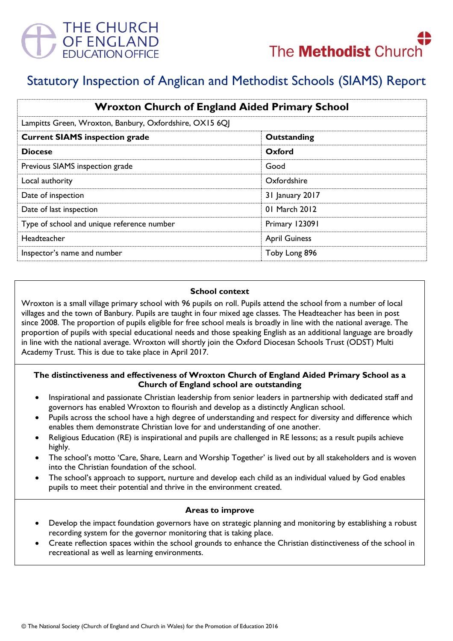



# Statutory Inspection of Anglican and Methodist Schools (SIAMS) Report

| <b>Wroxton Church of England Aided Primary School</b>                                                                                                                                 |               |
|---------------------------------------------------------------------------------------------------------------------------------------------------------------------------------------|---------------|
| Lampitts Green, Wroxton, Banbury, Oxfordshire, OX15 6QJ<br>Outstanding<br>Oxford<br>Good<br>Oxfordshire<br>31 January 2017<br>01 March 2012<br>Primary 123091<br><b>April Guiness</b> |               |
| <b>Current SIAMS inspection grade</b>                                                                                                                                                 |               |
| <b>Diocese</b>                                                                                                                                                                        |               |
| Previous SIAMS inspection grade                                                                                                                                                       |               |
| Local authority                                                                                                                                                                       |               |
| Date of inspection                                                                                                                                                                    |               |
| Date of last inspection                                                                                                                                                               |               |
| Type of school and unique reference number                                                                                                                                            |               |
| Headteacher                                                                                                                                                                           |               |
| Inspector's name and number                                                                                                                                                           | Toby Long 896 |

#### **School context**

Wroxton is a small village primary school with 96 pupils on roll. Pupils attend the school from a number of local villages and the town of Banbury. Pupils are taught in four mixed age classes. The Headteacher has been in post since 2008. The proportion of pupils eligible for free school meals is broadly in line with the national average. The proportion of pupils with special educational needs and those speaking English as an additional language are broadly in line with the national average. Wroxton will shortly join the Oxford Diocesan Schools Trust (ODST) Multi Academy Trust. This is due to take place in April 2017.

## **The distinctiveness and effectiveness of Wroxton Church of England Aided Primary School as a Church of England school are outstanding**

- Inspirational and passionate Christian leadership from senior leaders in partnership with dedicated staff and governors has enabled Wroxton to flourish and develop as a distinctly Anglican school.
- Pupils across the school have a high degree of understanding and respect for diversity and difference which enables them demonstrate Christian love for and understanding of one another.
- Religious Education (RE) is inspirational and pupils are challenged in RE lessons; as a result pupils achieve highly.
- The school's motto 'Care, Share, Learn and Worship Together' is lived out by all stakeholders and is woven into the Christian foundation of the school.
- The school"s approach to support, nurture and develop each child as an individual valued by God enables pupils to meet their potential and thrive in the environment created.

#### **Areas to improve**

- Develop the impact foundation governors have on strategic planning and monitoring by establishing a robust recording system for the governor monitoring that is taking place.
- Create reflection spaces within the school grounds to enhance the Christian distinctiveness of the school in recreational as well as learning environments.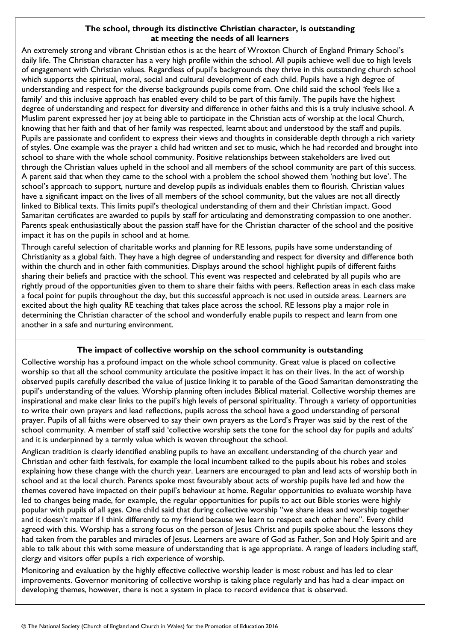## **The school, through its distinctive Christian character, is outstanding at meeting the needs of all learners**

An extremely strong and vibrant Christian ethos is at the heart of Wroxton Church of England Primary School"s daily life. The Christian character has a very high profile within the school. All pupils achieve well due to high levels of engagement with Christian values. Regardless of pupil"s backgrounds they thrive in this outstanding church school which supports the spiritual, moral, social and cultural development of each child. Pupils have a high degree of understanding and respect for the diverse backgrounds pupils come from. One child said the school "feels like a family' and this inclusive approach has enabled every child to be part of this family. The pupils have the highest degree of understanding and respect for diversity and difference in other faiths and this is a truly inclusive school. A Muslim parent expressed her joy at being able to participate in the Christian acts of worship at the local Church, knowing that her faith and that of her family was respected, learnt about and understood by the staff and pupils. Pupils are passionate and confident to express their views and thoughts in considerable depth through a rich variety of styles. One example was the prayer a child had written and set to music, which he had recorded and brought into school to share with the whole school community. Positive relationships between stakeholders are lived out through the Christian values upheld in the school and all members of the school community are part of this success. A parent said that when they came to the school with a problem the school showed them "nothing but love". The school"s approach to support, nurture and develop pupils as individuals enables them to flourish. Christian values have a significant impact on the lives of all members of the school community, but the values are not all directly linked to Biblical texts. This limits pupil's theological understanding of them and their Christian impact. Good Samaritan certificates are awarded to pupils by staff for articulating and demonstrating compassion to one another. Parents speak enthusiastically about the passion staff have for the Christian character of the school and the positive impact it has on the pupils in school and at home.

Through careful selection of charitable works and planning for RE lessons, pupils have some understanding of Christianity as a global faith. They have a high degree of understanding and respect for diversity and difference both within the church and in other faith communities. Displays around the school highlight pupils of different faiths sharing their beliefs and practice with the school. This event was respected and celebrated by all pupils who are rightly proud of the opportunities given to them to share their faiths with peers. Reflection areas in each class make a focal point for pupils throughout the day, but this successful approach is not used in outside areas. Learners are excited about the high quality RE teaching that takes place across the school. RE lessons play a major role in determining the Christian character of the school and wonderfully enable pupils to respect and learn from one another in a safe and nurturing environment.

# **The impact of collective worship on the school community is outstanding**

Collective worship has a profound impact on the whole school community. Great value is placed on collective worship so that all the school community articulate the positive impact it has on their lives. In the act of worship observed pupils carefully described the value of justice linking it to parable of the Good Samaritan demonstrating the pupil"s understanding of the values. Worship planning often includes Biblical material. Collective worship themes are inspirational and make clear links to the pupil"s high levels of personal spirituality. Through a variety of opportunities to write their own prayers and lead reflections, pupils across the school have a good understanding of personal prayer. Pupils of all faiths were observed to say their own prayers as the Lord"s Prayer was said by the rest of the school community. A member of staff said "collective worship sets the tone for the school day for pupils and adults" and it is underpinned by a termly value which is woven throughout the school.

Anglican tradition is clearly identified enabling pupils to have an excellent understanding of the church year and Christian and other faith festivals, for example the local incumbent talked to the pupils about his robes and stoles explaining how these change with the church year. Learners are encouraged to plan and lead acts of worship both in school and at the local church. Parents spoke most favourably about acts of worship pupils have led and how the themes covered have impacted on their pupil"s behaviour at home. Regular opportunities to evaluate worship have led to changes being made, for example, the regular opportunities for pupils to act out Bible stories were highly popular with pupils of all ages. One child said that during collective worship "we share ideas and worship together and it doesn't matter if I think differently to my friend because we learn to respect each other here". Every child agreed with this. Worship has a strong focus on the person of Jesus Christ and pupils spoke about the lessons they had taken from the parables and miracles of Jesus. Learners are aware of God as Father, Son and Holy Spirit and are able to talk about this with some measure of understanding that is age appropriate. A range of leaders including staff, clergy and visitors offer pupils a rich experience of worship.

Monitoring and evaluation by the highly effective collective worship leader is most robust and has led to clear improvements. Governor monitoring of collective worship is taking place regularly and has had a clear impact on developing themes, however, there is not a system in place to record evidence that is observed.